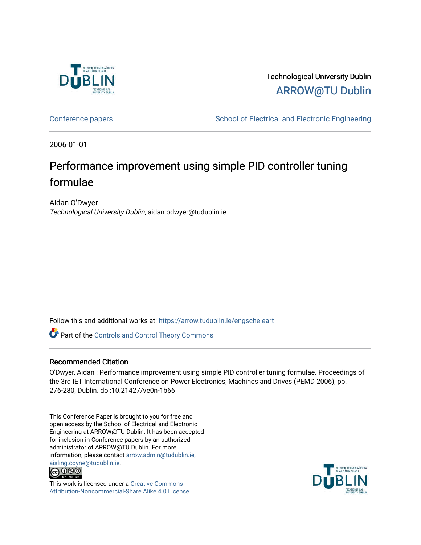

Technological University Dublin [ARROW@TU Dublin](https://arrow.tudublin.ie/) 

[Conference papers](https://arrow.tudublin.ie/engscheleart) **School of Electrical and Electronic Engineering** 

2006-01-01

# Performance improvement using simple PID controller tuning formulae

Aidan O'Dwyer Technological University Dublin, aidan.odwyer@tudublin.ie

Follow this and additional works at: [https://arrow.tudublin.ie/engscheleart](https://arrow.tudublin.ie/engscheleart?utm_source=arrow.tudublin.ie%2Fengscheleart%2F69&utm_medium=PDF&utm_campaign=PDFCoverPages) 

Part of the [Controls and Control Theory Commons](http://network.bepress.com/hgg/discipline/269?utm_source=arrow.tudublin.ie%2Fengscheleart%2F69&utm_medium=PDF&utm_campaign=PDFCoverPages) 

### Recommended Citation

O'Dwyer, Aidan : Performance improvement using simple PID controller tuning formulae. Proceedings of the 3rd IET International Conference on Power Electronics, Machines and Drives (PEMD 2006), pp. 276-280, Dublin. doi:10.21427/ve0n-1b66

This Conference Paper is brought to you for free and open access by the School of Electrical and Electronic Engineering at ARROW@TU Dublin. It has been accepted for inclusion in Conference papers by an authorized administrator of ARROW@TU Dublin. For more information, please contact [arrow.admin@tudublin.ie,](mailto:arrow.admin@tudublin.ie,%20aisling.coyne@tudublin.ie)  [aisling.coyne@tudublin.ie.](mailto:arrow.admin@tudublin.ie,%20aisling.coyne@tudublin.ie)<br>© 090



This work is licensed under a [Creative Commons](http://creativecommons.org/licenses/by-nc-sa/4.0/) [Attribution-Noncommercial-Share Alike 4.0 License](http://creativecommons.org/licenses/by-nc-sa/4.0/)

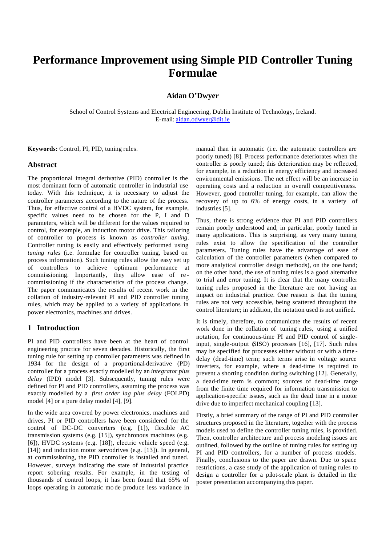## **Performance Improvement using Simple PID Controller Tuning Formulae**

#### **Aidan O'Dwyer**

School of Control Systems and Electrical Engineering, Dublin Institute of Technology, Ireland. E-mail: aidan.odwyer@dit.ie

**Keywords:** Control, PI, PID, tuning rules.

#### **Abstract**

The proportional integral derivative (PID) controller is the most dominant form of automatic controller in industrial use today. With this technique, it is necessary to adjust the controller parameters according to the nature of the process. Thus, for effective control of a HVDC system, for example, specific values need to be chosen for the P, I and D parameters, which will be different for the values required to control, for example, an induction motor drive. This tailoring of controller to process is known as *controller tuning*. Controller tuning is easily and effectively performed using *tuning rules* (i.e. formulae for controller tuning, based on process information). Such tuning rules allow the easy set up of controllers to achieve optimum performance at commissioning. Importantly, they allow ease of re commissioning if the characteristics of the process change. The paper communicates the results of recent work in the collation of industry-relevant PI and PID controller tuning rules, which may be applied to a variety of applications in power electronics, machines and drives.

#### **1 Introduction**

PI and PID controllers have been at the heart of control engineering practice for seven decades. Historically, the first tuning rule for setting up controller parameters was defined in 1934 for the design of a proportional-derivative (PD) controller for a process exactly modelled by an *integrator plus delay* (IPD) model [3]. Subsequently, tuning rules were defined for PI and PID controllers, assuming the process was exactly modelled by a *first order lag plus delay* (FOLPD) model [4] or a pure delay model [4], [9].

In the wide area covered by power electronics, machines and drives, PI or PID controllers have been considered for the control of DC-DC converters (e.g. [1]), flexible AC transmission systems (e.g. [15]), synchronous machines (e.g. [6]), HVDC systems (e.g. [18]), electric vehicle speed (e.g. [14]) and induction motor servodrives (e.g. [13]). In general, at commissioning, the PID controller is installed and tuned. However, surveys indicating the state of industrial practice report sobering results. For example, in the testing of thousands of control loops, it has been found that 65% of loops operating in automatic mo de produce less variance in manual than in automatic (i.e. the automatic controllers are poorly tuned) [8]. Process performance deteriorates when the controller is poorly tuned; this deterioration may be reflected, for example, in a reduction in energy efficiency and increased environmental emissions. The net effect will be an increase in operating costs and a reduction in overall competitiveness. However, good controller tuning, for example, can allow the recovery of up to 6% of energy costs, in a variety of industries [5].

Thus, there is strong evidence that PI and PID controllers remain poorly understood and, in particular, poorly tuned in many applications. This is surprising, as very many tuning rules exist to allow the specification of the controller parameters. Tuning rules have the advantage of ease of calculation of the controller parameters (when compared to more analytical controller design methods), on the one hand; on the other hand, the use of tuning rules is a good alternative to trial and error tuning. It is clear that the many controller tuning rules proposed in the literature are not having an impact on industrial practice. One reason is that the tuning rules are not very accessible, being scattered throughout the control literature; in addition, the notation used is not unified.

It is timely, therefore, to communicate the results of recent work done in the collation of tuning rules, using a unified notation, for continuous-time PI and PID control of singleinput, single-output (SISO) processes [16], [17]. Such rules may be specified for processes either without or with a time delay (dead-time) term; such terms arise in voltage source inverters, for example, where a dead-time is required to prevent a shorting condition during switching [12]. Generally, a dead-time term is common; sources of dead-time range from the finite time required for information transmission to application-specific issues, such as the dead time in a motor drive due to imperfect mechanical coupling [13].

Firstly, a brief summary of the range of PI and PID controller structures proposed in the literature, together with the process models used to define the controller tuning rules, is provided. Then, controller architecture and process modeling issues are outlined, followed by the outline of tuning rules for setting up PI and PID controllers, for a number of process models. Finally, conclusions to the paper are drawn. Due to space restrictions, a case study of the application of tuning rules to design a controller for a pilot-scale plant is detailed in the poster presentation accompanying this paper.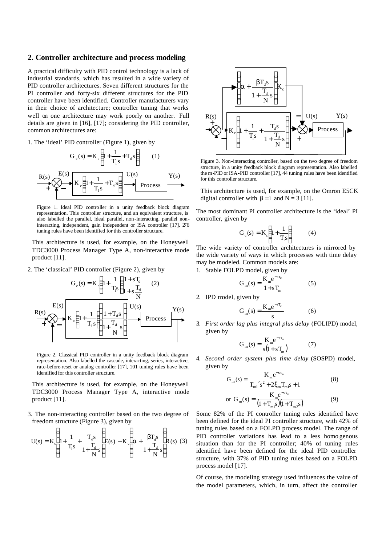#### **2. Controller architecture and process modeling**

A practical difficulty with PID control technology is a lack of industrial standards, which has resulted in a wide variety of PID controller architectures. Seven different structures for the PI controller and forty-six different structures for the PID controller have been identified. Controller manufacturers vary in their choice of architecture; controller tuning that works well on one architecture may work poorly on another. Full details are given in [16], [17]; considering the PID controller, common architectures are:

1. The 'ideal' PID controller (Figure 1), given by

$$
G_c(s) = K_c \left( 1 + \frac{1}{T_i s} + T_d s \right) \qquad (1)
$$
  
\n
$$
R(s) \longrightarrow K_c \left( 1 + \frac{1}{T_i s} + T_d s \right) \longrightarrow Y(s)
$$
  
\n
$$
T(s) \longrightarrow Y(s)
$$

Figure 1. Ideal PID controller in a unity feedback block diagram representation. This controller structure, and an equivalent structure, is also labelled the parallel, ideal parallel, non-interacting, parallel noninteracting, independent, gain independent or ISA controller [17]. 276 tuning rules have been identified for this controller structure.

This architecture is used, for example, on the Honeywell TDC3000 Process Manager Type A, non-interactive mode product [11].

2. The 'classical' PID controller (Figure 2), given by



Figure 2. Classical PID controller in a unity feedback block diagram representation. Also labelled the cascade, interacting, series, interactive, rate-before-reset or analog controller [17], 101 tuning rules have been identified for this controller structure.

This architecture is used, for example, on the Honeywell TDC3000 Process Manager Type A, interactive mode product [11].

3. The non-interacting controller based on the two degree of freedom structure (Figure 3), given by

$$
U(s) = K_c \left( 1 + \frac{1}{T_i s} + \frac{T_d s}{1 + \frac{T_d}{N} s} \right) E(s) - K_c \left( \alpha + \frac{\beta T_d s}{1 + \frac{T_d}{N} s} \right) R(s) (3)
$$



Figure 3. Non-interacting controller, based on the two degree of freedom structure, in a unity feedback block diagram representation. Also labelled the m-PID or ISA-PID controller [17], 44 tuning rules have been identified for this controller structure.

This architecture is used, for example, on the Omron E5CK digital controller with  $\beta = 1$  and  $N = 3$  [11].

The most dominant PI controller architecture is the 'ideal' PI controller, given by

$$
G_c(s) = K_c \left( 1 + \frac{1}{T_i s} \right) \tag{4}
$$

The wide variety of controller architectures is mirrored by the wide variety of ways in which processes with time delay may be modeled. Common models are:

1. Stable FOLPD model, given by

$$
G_m(s) = \frac{K_m e^{-s\tau_m}}{1 + sT_m}
$$
 (5)

2. IPD model, given by

$$
G_m(s) = \frac{K_m e^{-s\tau_m}}{s}
$$
 (6)

3. *First order lag plus integral plus delay* (FOLIPD) model, given by

$$
G_m(s) = \frac{K_m e^{-s\tau_m}}{s(1 + sT_m)}
$$
(7)

4. *Second order system plus time delay* (SOSPD) model, given by

$$
G_{m}(s) = \frac{K_{m}e^{-s\tau_{m}}}{T_{m}^{2}s^{2} + 2\xi_{m}T_{m}^{2}s + 1}
$$
(8)  
or 
$$
G_{m}(s) = \frac{K_{m}e^{-s\tau_{m}}}{(1 + T_{m}^{2})(1 + T_{m}^{2}s)}
$$
(9)

Some 82% of the PI controller tuning rules identified have been defined for the ideal PI controller structure, with 42% of tuning rules based on a FOLPD process model. The range of PID controller variations has lead to a less homo genous situation than for the PI controller; 40% of tuning rules identified have been defined for the ideal PID controller structure, with 37% of PID tuning rules based on a FOLPD process model [17].

Of course, the modeling strategy used influences the value of the model parameters, which, in turn, affect the controller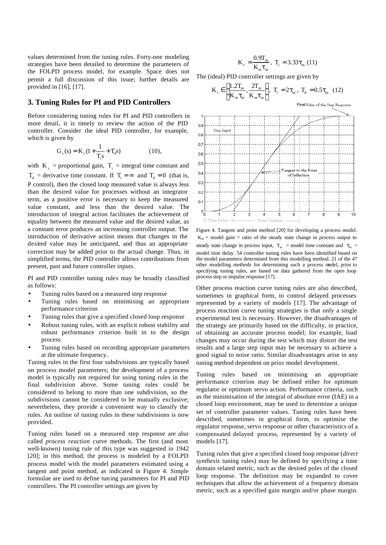values determined from the tuning rules. Forty-one modeling strategies have been detailed to determine the parameters of the FOLPD process model, for example. Space does not permit a full discussion of this issue; further details are provided in [16], [17].

#### **3. Tuning Rules for PI and PID Controllers**

Before considering tuning rules for PI and PID controllers in more detail, it is timely to review the action of the PID controller. Consider the ideal PID controller, for example, which is given by

$$
G_c(s) = K_c(1 + \frac{1}{T_i s} + T_d s)
$$
 (10),

with  $K_c$  = proportional gain,  $T_i$  = integral time constant and  $T_d$  = derivative time constant. If  $T_i = \infty$  and  $T_d = 0$  (that is, P control), then the closed loop measured value is always less than the desired value for processes without an integrator term, as a positive error is necessary to keep the measured value constant, and less than the desired value. The introduction of integral action facilitates the achievement of equality between the measured value and the desired value, as a constant error produces an increasing controller output. The introduction of derivative action means that changes in the desired value may be anticipated, and thus an appropriate correction may be added prior to the actual change. Thus, in simplified terms, the PID controller allows contributions from present, past and future controller inputs.

PI and PID controller tuning rules may be broadly classified as follows:

- Tuning rules based on a measured step response
- Tuning rules based on minimising an appropriate performance criterion
- Tuning rules that give a specified closed loop response
- Robust tuning rules, with an explicit robust stability and robust performance criterion built in to the design process
- Tuning rules based on recording appropriate parameters at the ultimate frequency.

Tuning rules in the first four subdivisions are typically based on process model parameters; the development of a process model is typically not required for using tuning rules in the final subdivision above. Some tuning rules could be considered to belong to more than one subdivision, so the subdivisions cannot be considered to be mutually exclusive; nevertheless, they provide a convenient way to classify the rules. An outline of tuning rules in these subdivisions is now provided.

Tuning rules based on a measured step response are also called *process reaction* curve methods. The first (and most well-known) tuning rule of this type was suggested in 1942 [20]; in this method, the process is modeled by a FOLPD process model with the model parameters estimated using a tangent and point method, as indicated in Figure 4. Simple formulae are used to define tuning parameters for PI and PID controllers. The PI controller settings are given by

$$
K_c = \frac{0.9T_m}{K_m \tau_m}, \ T_i = 3.33 \tau_m \ (11)
$$

The (ideal) PID controller settings are given by

$$
\mathbf{K}_{\rm c} \in \left[ \frac{1.2\mathbf{T}_{\rm m}}{\mathbf{K}_{\rm m}\tau_{\rm m}}, \frac{2\mathbf{T}_{\rm m}}{\mathbf{K}_{\rm m}\tau_{\rm m}} \right], \ \mathbf{T}_{\rm i} = 2\tau_{\rm m}, \ \mathbf{T}_{\rm d} = 0.5\tau_{\rm m} \tag{12}
$$

Final Value of the Step Response



Figure 4. Tangent and point method [20] for developing a process model.  $K_m$  = model gain = ratio of the steady state change in process output to steady state change in process input,  $T_m$  = model time constant and  $\tau_m$  = model time delay. 54 controller tuning rules have been identified based on the model parameters determined from this modelling method. 21 of the 47 other modelling methods for determining such a process model, prior to specifying tuning rules, are based on data gathered from the open loop process step or impulse response [17].

Other process reaction curve tuning rules are also described, sometimes in graphical form, to control delayed processes represented by a variety of models [17]. The advantage of process reaction curve tuning strategies is that only a single experimental test is necessary. However, the disadvantages of the strategy are primarily based on the difficulty, in practice, of obtaining an accurate process model; for example, load changes may occur during the test which may distort the test results and a large step input may be necessary to achieve a good signal to noise ratio. Similar disadvantages arise in any tuning method dependent on prior model development.

Tuning rules based on minimising an appropriate performance criterion may be defined either for optimum regulator or optimum servo action. Performance criteria, such as the minimisation of the integral of absolute error (IAE) in a closed loop environment, may be used to determine a unique set of controller parameter values. Tuning rules have been described, sometimes in graphical form, to optimise the regulator response, servo response or other characteristics of a compensated delayed process, represented by a variety of models [17].

Tuning rules that give a specified closed loop response (*direct synthesis* tuning rules) may be defined by specifying a time domain related metric, such as the desired poles of the closed loop response. The definition may be expanded to cover techniques that allow the achievement of a frequency domain metric, such as a specified gain margin and/or phase margin.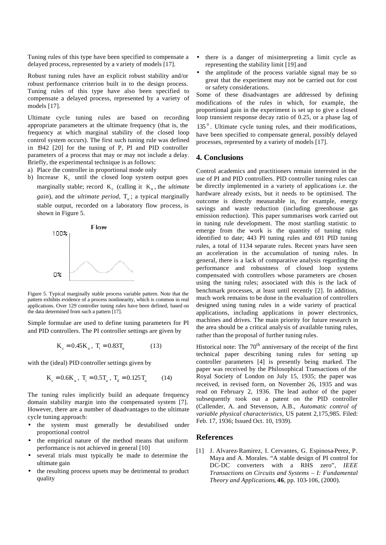Tuning rules of this type have been specified to compensate a delayed process, represented by a variety of models [17].

Robust tuning rules have an explicit robust stability and/or robust performance criterion built in to the design process. Tuning rules of this type have also been specified to compensate a delayed process, represented by a variety of models [17].

Ultimate cycle tuning rules are based on recording appropriate parameters at the ultimate frequency (that is, the frequency at which marginal stability of the closed loop control system occurs). The first such tuning rule was defined in 1942 [20] for the tuning of P, PI and PID controller parameters of a process that may or may not include a delay. Briefly, the experimental technique is as follows:

- a) Place the controller in proportional mode only
- b) Increase  $K_c$  until the closed loop system output goes marginally stable; record  $K_c$  (calling it  $K_u$ , the *ultimate gain*), and the *ultimate period*,  $T_u$ ; a typical marginally stable output, recorded on a laboratory flow process, is shown in Figure 5.



Figure 5. Typical marginally stable process variable pattern. Note that the pattern exhibits evidence of a process nonlinearity, which is common in real applications. Over 129 controller tuning rules have been defined, based on the data determined from such a pattern [17].

Simple formulae are used to define tuning parameters for PI and PID controllers. The PI controller settings are given by

$$
K_c = 0.45 K_u, T_i = 0.83 T_u \tag{13}
$$

with the (ideal) PID controller settings given by

$$
K_c = 0.6K_u, T_i = 0.5T_u, T_d = 0.125T_u \tag{14}
$$

The tuning rules implicitly build an adequate frequency domain stability margin into the compensated system [7]. However, there are a number of disadvantages to the ultimate cycle tuning approach:

- the system must generally be destabilised under proportional control
- the empirical nature of the method means that uniform performance is not achieved in general [10]
- several trials must typically be made to determine the ultimate gain
- the resulting process upsets may be detrimental to product quality
- there is a danger of misinterpreting a limit cycle as representing the stability limit [19] and
- the amplitude of the process variable signal may be so great that the experiment may not be carried out for cost or safety considerations.

Some of these disadvantages are addressed by defining modifications of the rules in which, for example, the proportional gain in the experiment is set up to give a closed loop transient response decay ratio of 0.25, or a phase lag of

135<sup>°</sup>. Ultimate cycle tuning rules, and their modifications, have been specified to compensate general, possibly delayed processes, represented by a variety of models [17].

#### **4. Conclusions**

Control academics and practitioners remain interested in the use of PI and PID controllers. PID controller tuning rules can be directly implemented in a variety of applications i.e. the hardware already exists, but it needs to be optimised. The outcome is directly measurable in, for example, energy savings and waste reduction (including greenhouse gas emission reduction). This paper summarises work carried out in tuning rule development. The most startling statistic to emerge from the work is the quantity of tuning rules identified to date; 443 PI tuning rules and 691 PID tuning rules, a total of 1134 separate rules. Recent years have seen an acceleration in the accumulation of tuning rules. In general, there is a lack of comparative analysis regarding the performance and robustness of closed loop systems compensated with controllers whose parameters are chosen using the tuning rules; associated with this is the lack of benchmark processes, at least until recently [2]. In addition, much work remains to be done in the evaluation of controllers designed using tuning rules in a wide variety of practical applications, including applications in power electronics, machines and drives. The main priority for future research in the area should be a critical analysis of available tuning rules, rather than the proposal of further tuning rules.

Historical note: The  $70<sup>th</sup>$  anniversary of the receipt of the first technical paper describing tuning rules for setting up controller parameters [4] is presently being marked. The paper was received by the Philosophical Transactions of the Royal Society of London on July 15, 1935; the paper was received, in revised form, on November 26, 1935 and was read on February 2, 1936. The lead author of the paper subsequently took out a patent on the PID controller (Callender, A. and Stevenson, A.B., *Automatic control of variable physical characteristics*, US patent 2,175,985. Filed: Feb. 17, 1936; Issued Oct. 10, 1939).

#### **References**

[1] J. Alvarez-Ramirez, I. Cervantes, G. Espinosa-Perez, P. Maya and A. Morales. "A stable design of PI control for DC-DC converters with a RHS zero", *IEEE Transactions on Circuits and Systems – I: Fundamental Theory and Applications*, **46**, pp. 103-106, (2000).